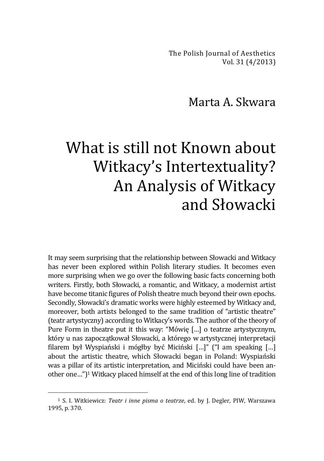The Polish Journal of Aesthetics Vol. 31 (4/2013)

## Marta A. Skwara

## What is still not Known about Witkacy's Intertextuality? An Analysis of Witkacy and Słowacki

It may seem surprising that the relationship between Słowacki and Witkacy has never been explored within Polish literary studies. It becomes even more surprising when we go over the following basic facts concerning both writers. Firstly, both Słowacki, a romantic, and Witkacy, a modernist artist have become titanic figures of Polish theatre much beyond their own epochs. Secondly, Słowacki's dramatic works were highly esteemed by Witkacy and, moreover, both artists belonged to the same tradition of "artistic theatre" (teatr artystyczny) according to Witkacy's words. The author of the theory of Pure Form in theatre put it this way: "Mówię […] o teatrze artystycznym, który u nas zapoczątkował Słowacki, a którego w artystycznej interpretacji filarem był Wyspiański i mógłby być Miciński […]" ("I am speaking […] about the artistic theatre, which Słowacki began in Poland: Wyspiański was a pillar of its artistic interpretation, and Miciński could have been another one…") <sup>1</sup> Witkacy placed himself at the end of this long line of tradition

<sup>1</sup> S. I. Witkiewicz: *Teatr i inne pisma o teatrze*, ed. by J. Degler, PIW, Warszawa 1995, p. 370.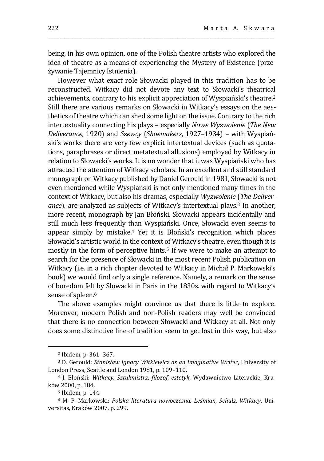being, in his own opinion, one of the Polish theatre artists who explored the idea of theatre as a means of experiencing the Mystery of Existence (przeżywanie Tajemnicy Istnienia).

\_\_\_\_\_\_\_\_\_\_\_\_\_\_\_\_\_\_\_\_\_\_\_\_\_\_\_\_\_\_\_\_\_\_\_\_\_\_\_\_\_\_\_\_\_\_\_\_\_\_\_\_\_\_\_\_\_\_\_\_\_\_\_\_\_\_\_\_\_\_\_\_\_\_\_\_\_\_\_\_\_\_\_\_\_\_\_\_\_\_\_\_\_\_\_\_\_\_

However what exact role Słowacki played in this tradition has to be reconstructed. Witkacy did not devote any text to Słowacki's theatrical achievements, contrary to his explicit appreciation of Wyspiański's theatre.<sup>2</sup> Still there are various remarks on Słowacki in Witkacy's essays on the aesthetics of theatre which can shed some light on the issue. Contrary to the rich intertextuality connecting his plays – especially *Nowe Wyzwolenie* (*The New Deliverance*, 1920) and *Szewcy* (*Shoemakers*, 1927–1934) – with Wyspiański's works there are very few explicit intertextual devices (such as quotations, paraphrases or direct metatextual allusions) employed by Witkacy in relation to Słowacki's works. It is no wonder that it was Wyspiański who has attracted the attention of Witkacy scholars. In an excellent and still standard monograph on Witkacy published by Daniel Gerould in 1981, Słowacki is not even mentioned while Wyspiański is not only mentioned many times in the context of Witkacy, but also his dramas, especially *Wyzwolenie* (*The Deliverance*), are analyzed as subjects of Witkacy's intertextual plays.<sup>3</sup> In another, more recent, monograph by Jan Błoński, Słowacki appears incidentally and still much less frequently than Wyspiański. Once, Słowacki even seems to appear simply by mistake.<sup>4</sup> Yet it is Błoński's recognition which places Słowacki's artistic world in the context of Witkacy's theatre, even though it is mostly in the form of perceptive hints.<sup>5</sup> If we were to make an attempt to search for the presence of Słowacki in the most recent Polish publication on Witkacy (i.e. in a rich chapter devoted to Witkacy in Michał P. Markowski's book) we would find only a single reference. Namely, a remark on the sense of boredom felt by Słowacki in Paris in the 1830s. with regard to Witkacy's sense of spleen.<sup>6</sup>

The above examples might convince us that there is little to explore. Moreover, modern Polish and non-Polish readers may well be convinced that there is no connection between Słowacki and Witkacy at all. Not only does some distinctive line of tradition seem to get lost in this way, but also

<sup>2</sup> Ibidem, p. 361–367.

<sup>3</sup> D. Gerould: *Stanisław Ignacy Witkiewicz as an Imaginative Writer*, University of London Press, Seattle and London 1981, p. 109–110.

<sup>4</sup> J. Błoński: *Witkacy. Sztukmistrz, filozof, estetyk*, Wydawnictwo Literackie, Kraków 2000, p. 184.

<sup>5</sup> Ibidem, p. 144.

<sup>6</sup> M. P. Markowski: *Polska literatura nowoczesna. Leśmian, Schulz, Witkacy*, Universitas, Kraków 2007, p. 299.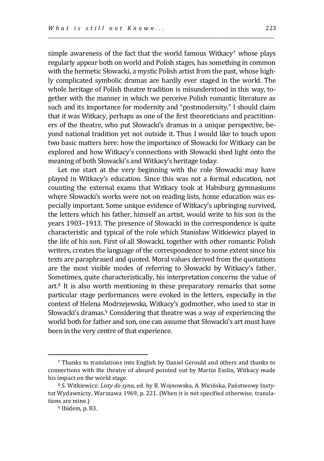simple awareness of the fact that the world famous Witkacy7 whose plays regularly appear both on world and Polish stages, has something in common with the hermetic Słowacki, a mystic Polish artist from the past, whose highly complicated symbolic dramas are hardly ever staged in the world. The whole heritage of Polish theatre tradition is misunderstood in this way, together with the manner in which we perceive Polish romantic literature as such and its importance for modernity and "postmodernity." I should claim that it was Witkacy, perhaps as one of the first theoreticians and practitioners of the theatre, who put Słowacki's dramas in a unique perspective, beyond national tradition yet not outside it. Thus I would like to touch upon two basic matters here: how the importance of Słowacki for Witkacy can be explored and how Witkacy's connections with Słowacki shed light onto the meaning of both Słowacki's and Witkacy's heritage today.

\_\_\_\_\_\_\_\_\_\_\_\_\_\_\_\_\_\_\_\_\_\_\_\_\_\_\_\_\_\_\_\_\_\_\_\_\_\_\_\_\_\_\_\_\_\_\_\_\_\_\_\_\_\_\_\_\_\_\_\_\_\_\_\_\_\_\_\_\_\_\_\_\_\_\_\_\_\_\_\_\_\_\_\_\_\_\_\_\_\_\_\_\_\_\_\_\_\_

Let me start at the very beginning with the role Słowacki may have played in Witkacy's education. Since this was not a formal education, not counting the external exams that Witkacy took at Habsburg gymnasiums where Słowacki's works were not on reading lists, home education was especially important. Some unique evidence of Witkacy's upbringing survived, the letters which his father, himself an artist, would write to his son in the years 1903–1913. The presence of Słowacki in the correspondence is quite characteristic and typical of the role which Stanisław Witkiewicz played in the life of his son. First of all Słowacki, together with other romantic Polish writers, creates the language of the correspondence to some extent since his texts are paraphrased and quoted. Moral values derived from the quotations are the most visible modes of referring to Słowacki by Witkacy's father. Sometimes, quite characteristically, his interpretation concerns the value of  $art<sup>8</sup>$  It is also worth mentioning in these preparatory remarks that some particular stage performances were evoked in the letters, especially in the context of Helena Modrzejewska, Witkacy's godmother, who used to star in Słowacki's dramas.<sup>9</sup> Considering that theatre was a way of experiencing the world both for father and son, one can assume that Słowacki's art must have been in the very centre of that experience.

<sup>7</sup> Thanks to translations into English by Daniel Gerould and others and thanks to connections with the theatre of absurd pointed out by Martin Esslin, Witkacy made his impact on the world stage.

<sup>8</sup> S. Witkiewicz: *Listy do syna*, ed. by B. Wojnowska, A. Micińska, Państwowy Instytut Wydawniczy, Warszawa 1969, p. 221. (When it is not specified otherwise, translations are mine.)

<sup>9</sup> Ibidem, p. 83.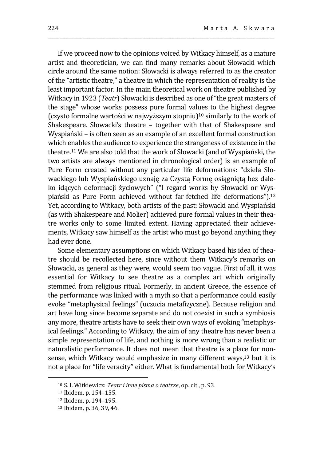If we proceed now to the opinions voiced by Witkacy himself, as a mature artist and theoretician, we can find many remarks about Słowacki which circle around the same notion: Słowacki is always referred to as the creator of the "artistic theatre," a theatre in which the representation of reality is the least important factor. In the main theoretical work on theatre published by Witkacy in 1923 (*Teatr*) Słowacki is described as one of "the great masters of the stage" whose works possess pure formal values to the highest degree (czysto formalne wartości w najwyższym stopniu) <sup>10</sup> similarly to the work of Shakespeare. Słowacki's theatre – together with that of Shakespeare and Wyspiański – is often seen as an example of an excellent formal construction which enables the audience to experience the strangeness of existence in the theatre.<sup>11</sup> We are also told that the work of Słowacki (and of Wyspiański, the two artists are always mentioned in chronological order) is an example of Pure Form created without any particular life deformations: "dzieła Słowackiego lub Wyspiańskiego uznaję za Czystą Formę osiągniętą bez daleko idących deformacji życiowych" ("I regard works by Słowacki or Wyspiański as Pure Form achieved without far-fetched life deformations"). 12 Yet, according to Witkacy, both artists of the past: Słowacki and Wyspiański (as with Shakespeare and Molier) achieved pure formal values in their theatre works only to some limited extent. Having appreciated their achievements, Witkacy saw himself as the artist who must go beyond anything they had ever done.

\_\_\_\_\_\_\_\_\_\_\_\_\_\_\_\_\_\_\_\_\_\_\_\_\_\_\_\_\_\_\_\_\_\_\_\_\_\_\_\_\_\_\_\_\_\_\_\_\_\_\_\_\_\_\_\_\_\_\_\_\_\_\_\_\_\_\_\_\_\_\_\_\_\_\_\_\_\_\_\_\_\_\_\_\_\_\_\_\_\_\_\_\_\_\_\_\_\_

Some elementary assumptions on which Witkacy based his idea of theatre should be recollected here, since without them Witkacy's remarks on Słowacki, as general as they were, would seem too vague. First of all, it was essential for Witkacy to see theatre as a complex art which originally stemmed from religious ritual. Formerly, in ancient Greece, the essence of the performance was linked with a myth so that a performance could easily evoke "metaphysical feelings" (uczucia metafizyczne). Because religion and art have long since become separate and do not coexist in such a symbiosis any more, theatre artists have to seek their own ways of evoking "metaphysical feelings." According to Witkacy, the aim of any theatre has never been a simple representation of life, and nothing is more wrong than a realistic or naturalistic performance. It does not mean that theatre is a place for nonsense, which Witkacy would emphasize in many different ways,<sup>13</sup> but it is not a place for "life veracity" either. What is fundamental both for Witkacy's

<sup>10</sup> S. I. Witkiewicz: *Teatr i inne pisma o teatrze*, op. cit., p. 93.

<sup>11</sup> Ibidem, p. 154–155.

<sup>12</sup> Ibidem, p. 194–195.

<sup>13</sup> Ibidem, p. 36, 39, 46.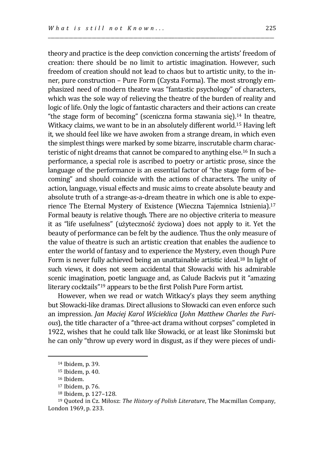theory and practice is the deep conviction concerning the artists' freedom of creation: there should be no limit to artistic imagination. However, such freedom of creation should not lead to chaos but to artistic unity, to the inner, pure construction – Pure Form (Czysta Forma). The most strongly emphasized need of modern theatre was "fantastic psychology" of characters, which was the sole way of relieving the theatre of the burden of reality and logic of life. Only the logic of fantastic characters and their actions can create "the stage form of becoming" (sceniczna forma stawania się).<sup>14</sup> In theatre, Witkacy claims, we want to be in an absolutely different world.<sup>15</sup> Having left it, we should feel like we have awoken from a strange dream, in which even the simplest things were marked by some bizarre, inscrutable charm characteristic of night dreams that cannot be compared to anything else.<sup>16</sup> In such a performance, a special role is ascribed to poetry or artistic prose, since the language of the performance is an essential factor of "the stage form of becoming" and should coincide with the actions of characters. The unity of action, language, visual effects and music aims to create absolute beauty and absolute truth of a strange-as-a-dream theatre in which one is able to experience The Eternal Mystery of Existence (Wieczna Tajemnica Istnienia).<sup>17</sup> Formal beauty is relative though. There are no objective criteria to measure it as "life usefulness" (użyteczność życiowa) does not apply to it. Yet the beauty of performance can be felt by the audience. Thus the only measure of the value of theatre is such an artistic creation that enables the audience to enter the world of fantasy and to experience the Mystery, even though Pure Form is never fully achieved being an unattainable artistic ideal.<sup>18</sup> In light of such views, it does not seem accidental that Słowacki with his admirable scenic imagination, poetic language and, as Calude Backvis put it "amazing literary cocktails"<sup>19</sup> appears to be the first Polish Pure Form artist.

\_\_\_\_\_\_\_\_\_\_\_\_\_\_\_\_\_\_\_\_\_\_\_\_\_\_\_\_\_\_\_\_\_\_\_\_\_\_\_\_\_\_\_\_\_\_\_\_\_\_\_\_\_\_\_\_\_\_\_\_\_\_\_\_\_\_\_\_\_\_\_\_\_\_\_\_\_\_\_\_\_\_\_\_\_\_\_\_\_\_\_\_\_\_\_\_\_\_

However, when we read or watch Witkacy's plays they seem anything but Słowacki-like dramas. Direct allusions to Słowacki can even enforce such an impression. *Jan Maciej Karol Wścieklica* (*John Matthew Charles the Furious*), the title character of a "three-act drama without corpses" completed in 1922, wishes that he could talk like Słowacki, or at least like Słonimski but he can only "throw up every word in disgust, as if they were pieces of undi-

<sup>14</sup> Ibidem, p. 39.

<sup>15</sup> Ibidem, p. 40.

<sup>16</sup> Ibidem.

<sup>17</sup> Ibidem, p. 76.

<sup>18</sup> Ibidem, p. 127–128.

<sup>19</sup> Quoted in Cz. Miłosz: *The History of Polish Literature*, The Macmillan Company, London 1969, p. 233.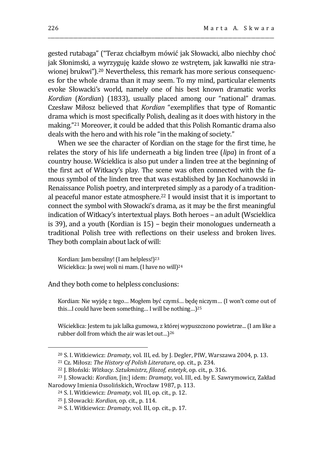gested rutabaga" ("Teraz chciałbym mówić jak Słowacki, albo niechby choć jak Słonimski, a wyrzyguję każde słowo ze wstrętem, jak kawałki nie strawionej brukwi"). <sup>20</sup> Nevertheless, this remark has more serious consequences for the whole drama than it may seem. To my mind, particular elements evoke Słowacki's world, namely one of his best known dramatic works *Kordian* (*Kordian*) (1833), usually placed among our "national" dramas*.*  Czesław Miłosz believed that *Kordian* "exemplifies that type of Romantic drama which is most specifically Polish, dealing as it does with history in the making." <sup>21</sup> Moreover, it could be added that this Polish Romantic drama also deals with the hero and with his role "in the making of society."

\_\_\_\_\_\_\_\_\_\_\_\_\_\_\_\_\_\_\_\_\_\_\_\_\_\_\_\_\_\_\_\_\_\_\_\_\_\_\_\_\_\_\_\_\_\_\_\_\_\_\_\_\_\_\_\_\_\_\_\_\_\_\_\_\_\_\_\_\_\_\_\_\_\_\_\_\_\_\_\_\_\_\_\_\_\_\_\_\_\_\_\_\_\_\_\_\_\_

When we see the character of Kordian on the stage for the first time, he relates the story of his life underneath a big linden tree (*lipa*) in front of a country house. Wścieklica is also put under a linden tree at the beginning of the first act of Witkacy's play. The scene was often connected with the famous symbol of the linden tree that was established by Jan Kochanowski in Renaissance Polish poetry, and interpreted simply as a parody of a traditional peaceful manor estate atmosphere.<sup>22</sup> I would insist that it is important to connect the symbol with Słowacki's drama, as it may be the first meaningful indication of Witkacy's intertextual plays. Both heroes – an adult (Wscieklica is 39), and a youth (Kordian is 15) – begin their monologues underneath a traditional Polish tree with reflections on their useless and broken lives. They both complain about lack of will:

Kordian: Jam bezsilny! (I am helpless!)<sup>23</sup> Wścieklica: Ja swej woli ni mam. (I have no will)<sup>24</sup>

## And they both come to helpless conclusions:

Kordian: Nie wyjdę z tego… Mogłem być czymś… będę niczym… (I won't come out of this…I could have been something… I will be nothing…) 25

Wścieklica: Jestem tu jak lalka gumowa, z której wypuszczono powietrze... (I am like a rubber doll from which the air was let out…) 26

<sup>20</sup> S. I. Witkiewicz: *Dramaty*, vol. III, ed. by J. Degler, PIW, Warszawa 2004, p. 13.

<sup>21</sup> Cz. Miłosz: *The History of Polish Literature*, op. cit., p. 234.

<sup>22</sup> J. Błoński: *Witkacy. Sztukmistrz, filozof, estetyk*, op. cit., p. 316.

<sup>23</sup> J. Słowacki: *Kordian*, [in:] idem: *Dramaty,* vol. III, ed. by E. Sawrymowicz, Zakład Narodowy Imienia Ossolińskich, Wrocław 1987, p. 113.

<sup>24</sup> S. I. Witkiewicz: *Dramaty*, vol. III, op. cit., p. 12.

<sup>25</sup> J. Słowacki: *Kordian*, op. cit., p. 114.

<sup>26</sup> S. I. Witkiewicz: *Dramaty*, vol. III, op. cit., p. 17.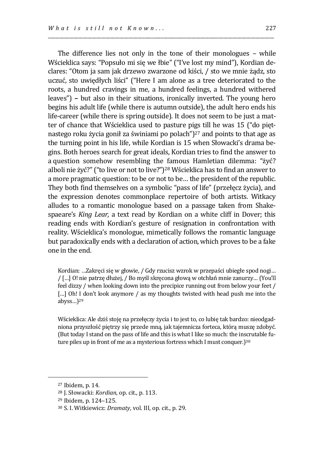The difference lies not only in the tone of their monologues – while Wścieklica says: "Popsuło mi się we łbie" ("I've lost my mind"), Kordian declares: "Otom ja sam jak drzewo zwarzone od kiści, / sto we mnie żądz, sto uczuć, sto uwiędłych liści" ("Here I am alone as a tree deteriorated to the roots, a hundred cravings in me, a hundred feelings, a hundred withered leaves") **–** but also in their situations, ironically inverted. The young hero begins his adult life (while there is autumn outside), the adult hero ends his life-career (while there is spring outside). It does not seem to be just a matter of chance that Wścieklica used to pasture pigs till he was 15 ("do piętnastego roku życia gonił za świniami po polach") <sup>27</sup> and points to that age as the turning point in his life, while Kordian is 15 when Słowacki's drama begins. Both heroes search for great ideals, Kordian tries to find the answer to a question somehow resembling the famous Hamletian dilemma: "żyć? alboli nie żyć?" ("to live or not to live?")<sup>28</sup> Wścieklica has to find an answer to a more pragmatic question: to be or not to be… the president of the republic. They both find themselves on a symbolic "pass of life" (przełęcz życia), and the expression denotes commonplace repertoire of both artists. Witkacy alludes to a romantic monologue based on a passage taken from Shakespaeare's *King Lear,* a text read by Kordian on a white cliff in Dover; this reading ends with Kordian's gesture of resignation in confrontation with reality. Wścieklica's monologue, mimetically follows the romantic language but paradoxically ends with a declaration of action, which proves to be a fake one in the end.

Kordian: …Zakręci się w głowie, / Gdy rzucisz wzrok w przepaści ubiegłe spod nogi… / […] O! nie patrzę dłużej, / Bo myśl skręcona głową w otchłań mnie zanurzy… (You'll feel dizzy / when looking down into the precipice running out from below your feet / [...] Oh! I don't look anymore / as my thoughts twisted with head push me into the abyss…) 29

Wścieklica: Ale dziś stoję na przełęczy życia i to jest to, co lubię tak bardzo: nieodgadniona przyszłość piętrzy się przede mną, jak tajemnicza forteca, którą muszę zdobyć. (But today I stand on the pass of life and this is what I like so much: the inscrutable future piles up in front of me as a mysterious fortress which I must conquer.) 30

<sup>27</sup> Ibidem, p. 14.

<sup>28</sup> J. Słowacki: *Kordian*, op. cit., p. 113.

<sup>29</sup> Ibidem, p. 124–125.

<sup>30</sup> S. I. Witkiewicz: *Dramaty*, vol. III, op. cit., p. 29.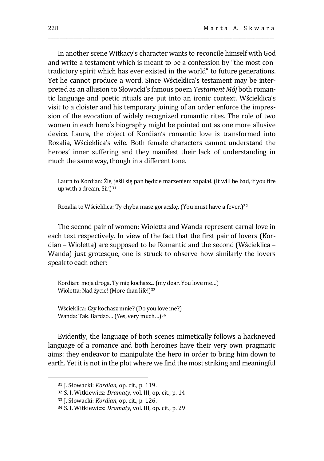In another scene Witkacy's character wants to reconcile himself with God and write a testament which is meant to be a confession by "the most contradictory spirit which has ever existed in the world" to future generations. Yet he cannot produce a word. Since Wścieklica's testament may be interpreted as an allusion to Słowacki's famous poem *Testament Mój* both romantic language and poetic rituals are put into an ironic context. Wścieklica's visit to a cloister and his temporary joining of an order enforce the impression of the evocation of widely recognized romantic rites. The role of two women in each hero's biography might be pointed out as one more allusive device. Laura, the object of Kordian's romantic love is transformed into Rozalia, Wścieklica's wife. Both female characters cannot understand the heroes' inner suffering and they manifest their lack of understanding in much the same way, though in a different tone.

\_\_\_\_\_\_\_\_\_\_\_\_\_\_\_\_\_\_\_\_\_\_\_\_\_\_\_\_\_\_\_\_\_\_\_\_\_\_\_\_\_\_\_\_\_\_\_\_\_\_\_\_\_\_\_\_\_\_\_\_\_\_\_\_\_\_\_\_\_\_\_\_\_\_\_\_\_\_\_\_\_\_\_\_\_\_\_\_\_\_\_\_\_\_\_\_\_\_

Laura to Kordian: Źle, jeśli się pan będzie marzeniem zapalał. (It will be bad, if you fire up with a dream, Sir.)<sup>31</sup>

Rozalia to Wścieklica: Ty chyba masz goraczkę. (You must have a fever.)<sup>32</sup>

The second pair of women: Wioletta and Wanda represent carnal love in each text respectively. In view of the fact that the first pair of lovers (Kordian – Wioletta) are supposed to be Romantic and the second (Wścieklica – Wanda) just grotesque, one is struck to observe how similarly the lovers speak to each other:

Kordian: moja droga. Ty mię kochasz...(my dear. You love me…) Wioletta: Nad życie! (More than life!)<sup>33</sup>

Wścieklica: Czy kochasz mnie? (Do you love me?) Wanda: Tak. Bardzo*…* (Yes, very much…)<sup>34</sup>

Evidently, the language of both scenes mimetically follows a hackneyed language of a romance and both heroines have their very own pragmatic aims: they endeavor to manipulate the hero in order to bring him down to earth. Yet it is not in the plot where we find the most striking and meaningful

<sup>31</sup> J. Słowacki: *Kordian*, op. cit., p. 119.

<sup>32</sup> S. I. Witkiewicz: *Dramaty*, vol. III, op. cit., p. 14.

<sup>33</sup> J. Słowacki: *Kordian*, op. cit., p. 126.

<sup>34</sup> S. I. Witkiewicz: *Dramaty*, vol. III, op. cit., p. 29.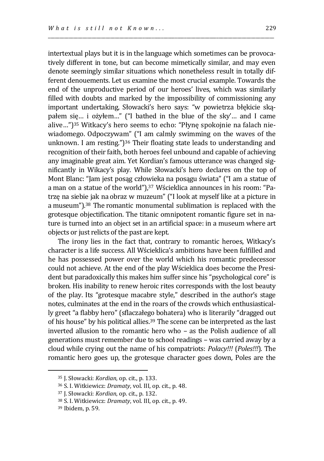intertextual plays but it is in the language which sometimes can be provocatively different in tone, but can become mimetically similar, and may even denote seemingly similar situations which nonetheless result in totally different denouements. Let us examine the most crucial example. Towards the end of the unproductive period of our heroes' lives, which was similarly filled with doubts and marked by the impossibility of commissioning any important undertaking, Słowacki's hero says: "w powietrza błękicie skąpałem się… i ożyłem…" ("I bathed in the blue of the sky'… and I came alive…") <sup>35</sup> Witkacy's hero seems to echo: "Płynę spokojnie na falach niewiadomego. Odpoczywam" ("I am calmly swimming on the waves of the unknown. I am resting.") <sup>36</sup> Their floating state leads to understanding and recognition of their faith, both heroes feel unbound and capable of achieving any imaginable great aim. Yet Kordian's famous utterance was changed significantly in Wikacy's play*.* While Słowacki's hero declares on the top of Mont Blanc: "Jam jest posąg człowieka na posągu świata" ("I am a statue of a man on a statue of the world"), <sup>37</sup> Wścieklica announces in his room: "Patrzę na siebie jak na obraz w muzeum" ("I look at myself like at a picture in a museum"). <sup>38</sup> The romantic monumental sublimation is replaced with the grotesque objectification. The titanic omnipotent romantic figure set in nature is turned into an object set in an artificial space: in a museum where art objects or just relicts of the past are kept.

\_\_\_\_\_\_\_\_\_\_\_\_\_\_\_\_\_\_\_\_\_\_\_\_\_\_\_\_\_\_\_\_\_\_\_\_\_\_\_\_\_\_\_\_\_\_\_\_\_\_\_\_\_\_\_\_\_\_\_\_\_\_\_\_\_\_\_\_\_\_\_\_\_\_\_\_\_\_\_\_\_\_\_\_\_\_\_\_\_\_\_\_\_\_\_\_\_\_

The irony lies in the fact that, contrary to romantic heroes, Witkacy's character is a life success. All Wścieklica's ambitions have been fulfilled and he has possessed power over the world which his romantic predecessor could not achieve. At the end of the play Wścieklica does become the President but paradoxically this makes him suffer since his "psychological core" is broken. His inability to renew heroic rites corresponds with the lost beauty of the play. Its "grotesque macabre style," described in the author's stage notes, culminates at the end in the roars of the crowds which enthusiastically greet "a flabby hero" (sflaczałego bohatera) who is literarily "dragged out of his house" by his political allies.<sup>39</sup> The scene can be interpreted as the last inverted allusion to the romantic hero who – as the Polish audience of all generations must remember due to school readings – was carried away by a cloud while crying out the name of his compatriots: *Polacy!!!* (*Poles!!!*)*.* The romantic hero goes up, the grotesque character goes down, Poles are the

<sup>35</sup> J. Słowacki: *Kordian*, op. cit., p. 133.

<sup>36</sup> S. I. Witkiewicz: *Dramaty*, vol. III, op. cit., p. 48.

<sup>37</sup> J. Słowacki: *Kordian*, op. cit., p. 132.

<sup>38</sup> S. I. Witkiewicz: *Dramaty*, vol. III, op. cit., p. 49.

<sup>39</sup> Ibidem, p. 59.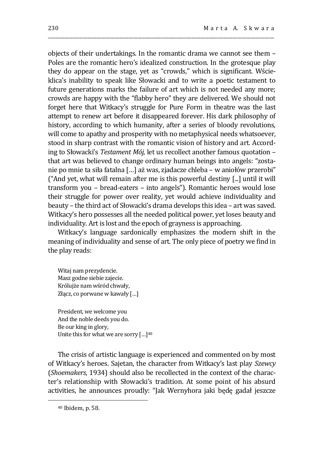objects of their undertakings. In the romantic drama we cannot see them – Poles are the romantic hero's idealized construction. In the grotesque play they do appear on the stage, yet as "crowds," which is significant. Wścieklica's inability to speak like Słowacki and to write a poetic testament to future generations marks the failure of art which is not needed any more; crowds are happy with the "flabby hero" they are delivered. We should not forget here that Witkacy's struggle for Pure Form in theatre was the last attempt to renew art before it disappeared forever. His dark philosophy of history, according to which humanity, after a series of bloody revolutions, will come to apathy and prosperity with no metaphysical needs whatsoever, stood in sharp contrast with the romantic vision of history and art. According to Słowacki's *Testament Mój,* let us recollect another famous quotation – that art was believed to change ordinary human beings into angels: "zostanie po mnie ta siła fatalna […] aż was, zjadacze chleba – w aniołów przerobi" ("And yet, what will remain after me is this powerful destiny [...] until it will transform you – bread-eaters – into angels"). Romantic heroes would lose their struggle for power over reality, yet would achieve individuality and beauty – the third act of Słowacki's drama develops this idea – art was saved. Witkacy's hero possesses all the needed political power, yet loses beauty and individuality. Art is lost and the epoch of grayness is approaching.

\_\_\_\_\_\_\_\_\_\_\_\_\_\_\_\_\_\_\_\_\_\_\_\_\_\_\_\_\_\_\_\_\_\_\_\_\_\_\_\_\_\_\_\_\_\_\_\_\_\_\_\_\_\_\_\_\_\_\_\_\_\_\_\_\_\_\_\_\_\_\_\_\_\_\_\_\_\_\_\_\_\_\_\_\_\_\_\_\_\_\_\_\_\_\_\_\_\_

Witkacy's language sardonically emphasizes the modern shift in the meaning of individuality and sense of art. The only piece of poetry we find in the play reads:

Witaj nam prezydencie. Masz godne siebie zajecie. Królujże nam wśród chwały, Złącz, co porwane w kawały […]

President, we welcome you And the noble deeds you do. Be our king in glory, Unite this for what we are sorry […]<sup>40</sup>

The crisis of artistic language is experienced and commented on by most of Witkacy's heroes. Sajetan, the character from Witkacy's last play *Szewcy* (*Shoemakers*, 1934) should also be recollected in the context of the character's relationship with Słowacki's tradition. At some point of his absurd activities, he announces proudly: "Jak Wernyhora jaki będę gadał jeszcze

<sup>40</sup> Ibidem, p. 58.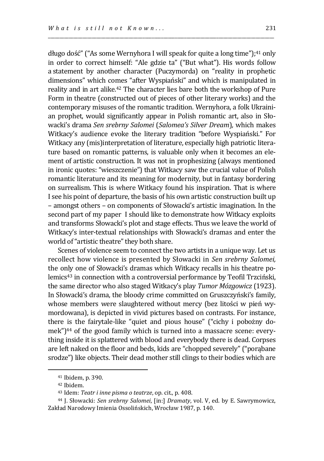długo dość" ("As some Wernyhora I will speak for quite a long time"); <sup>41</sup> only in order to correct himself: "Ale gdzie ta" ("But what"). His words follow a statement by another character (Puczymorda) on "reality in prophetic dimensions" which comes "after Wyspiański" and which is manipulated in reality and in art alike.<sup>42</sup> The character lies bare both the workshop of Pure Form in theatre (constructed out of pieces of other literary works) and the contemporary misuses of the romantic tradition. Wernyhora, a folk Ukrainian prophet, would significantly appear in Polish romantic art, also in Słowacki's drama *Sen srebrny Salomei* (*Salomea's Silver Dream*)*,* which makes Witkacy's audience evoke the literary tradition "before Wyspiański." For Witkacy any (mis)interpretation of literature, especially high patriotic literature based on romantic patterns, is valuable only when it becomes an element of artistic construction. It was not in prophesizing (always mentioned in ironic quotes: "wieszczenie") that Witkacy saw the crucial value of Polish romantic literature and its meaning for modernity, but in fantasy bordering on surrealism. This is where Witkacy found his inspiration. That is where I see his point of departure, the basis of his own artistic construction built up – amongst others – on components of Słowacki's artistic imagination. In the second part of my paper I should like to demonstrate how Witkacy exploits and transforms Słowacki's plot and stage effects. Thus we leave the world of Witkacy's inter-textual relationships with Słowacki's dramas and enter the world of "artistic theatre" they both share.

\_\_\_\_\_\_\_\_\_\_\_\_\_\_\_\_\_\_\_\_\_\_\_\_\_\_\_\_\_\_\_\_\_\_\_\_\_\_\_\_\_\_\_\_\_\_\_\_\_\_\_\_\_\_\_\_\_\_\_\_\_\_\_\_\_\_\_\_\_\_\_\_\_\_\_\_\_\_\_\_\_\_\_\_\_\_\_\_\_\_\_\_\_\_\_\_\_\_

Scenes of violence seem to connect the two artists in a unique way. Let us recollect how violence is presented by Słowacki in *Sen srebrny Salomei,*  the only one of Słowacki's dramas which Witkacy recalls in his theatre polemics<sup>43</sup> in connection with a controversial performance by Teofil Trzciński, the same director who also staged Witkacy's play *Tumor Mózgowicz* (1923). In Słowacki's drama, the bloody crime committed on Gruszczyński's family, whose members were slaughtered without mercy (bez litości w pień wymordowana), is depicted in vivid pictures based on contrasts. For instance, there is the fairytale-like "quiet and pious house" ("cichy i pobożny domek") <sup>44</sup> of the good family which is turned into a massacre scene: everything inside it is splattered with blood and everybody there is dead. Corpses are left naked on the floor and beds, kids are "chopped severely" ("porąbane srodze") like objects. Their dead mother still clings to their bodies which are

<sup>41</sup> Ibidem, p. 390.

<sup>42</sup> Ibidem.

<sup>43</sup> Idem: *Teatr i inne pisma o teatrze*, op. cit., p. 408.

<sup>44</sup> J. Słowacki: *Sen srebrny Salomei*, [in:] *Dramaty*, vol. V, ed. by E. Sawrymowicz, Zakład Narodowy Imienia Ossolińskich, Wrocław 1987, p. 140.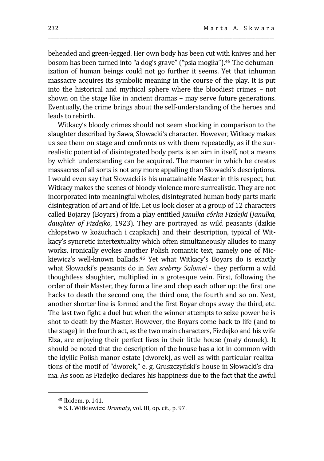beheaded and green-legged. Her own body has been cut with knives and her bosom has been turned into "a dog's grave" ("psia mogiła"). <sup>45</sup> The dehumanization of human beings could not go further it seems. Yet that inhuman massacre acquires its symbolic meaning in the course of the play. It is put into the historical and mythical sphere where the bloodiest crimes – not shown on the stage like in ancient dramas – may serve future generations. Eventually, the crime brings about the self-understanding of the heroes and leads to rebirth.

\_\_\_\_\_\_\_\_\_\_\_\_\_\_\_\_\_\_\_\_\_\_\_\_\_\_\_\_\_\_\_\_\_\_\_\_\_\_\_\_\_\_\_\_\_\_\_\_\_\_\_\_\_\_\_\_\_\_\_\_\_\_\_\_\_\_\_\_\_\_\_\_\_\_\_\_\_\_\_\_\_\_\_\_\_\_\_\_\_\_\_\_\_\_\_\_\_\_

Witkacy's bloody crimes should not seem shocking in comparison to the slaughter described by Sawa, Słowacki's character. However, Witkacy makes us see them on stage and confronts us with them repeatedly, as if the surrealistic potential of disintegrated body parts is an aim in itself, not a means by which understanding can be acquired. The manner in which he creates massacres of all sorts is not any more appalling than Słowacki's descriptions. I would even say that Słowacki is his unattainable Master in this respect, but Witkacy makes the scenes of bloody violence more surrealistic. They are not incorporated into meaningful wholes, disintegrated human body parts mark disintegration of art and of life. Let us look closer at a group of 12 characters called Bojarzy (Boyars) from a play entitled *Janulka córka Fizdejki* (*Janulka, daughter of Fizdejko*, 1923)*.* They are portrayed as wild peasants (dzikie chłopstwo w kożuchach i czapkach) and their description, typical of Witkacy's syncretic intertextuality which often simultaneously alludes to many works, ironically evokes another Polish romantic text, namely one of Mickiewicz's well-known ballads.<sup>46</sup> Yet what Witkacy's Boyars do is exactly what Słowacki's peasants do in *Sen srebrny Salomei* - they perform a wild thoughtless slaughter, multiplied in a grotesque vein. First, following the order of their Master, they form a line and chop each other up: the first one hacks to death the second one, the third one, the fourth and so on. Next, another shorter line is formed and the first Boyar chops away the third, etc. The last two fight a duel but when the winner attempts to seize power he is shot to death by the Master. However, the Boyars come back to life (and to the stage) in the fourth act, as the two main characters, Fizdejko and his wife Elza, are enjoying their perfect lives in their little house (mały domek). It should be noted that the description of the house has a lot in common with the idyllic Polish manor estate (dworek), as well as with particular realizations of the motif of "dworek," e. g. Gruszczyński's house in Słowacki's drama. As soon as Fizdejko declares his happiness due to the fact that the awful

<sup>45</sup> Ibidem, p. 141.

<sup>46</sup> S. I. Witkiewicz: *Dramaty*, vol. III, op. cit., p. 97.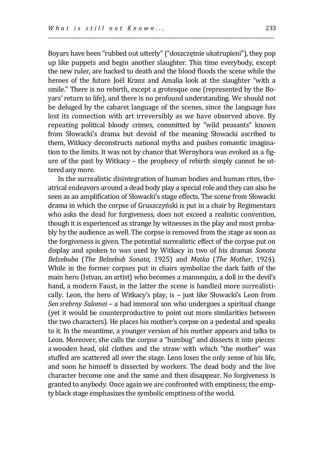Boyars have been "rubbed out utterly" ("doszczętnie ukatrupieni"), they pop up like puppets and begin another slaughter. This time everybody, except the new ruler, are hacked to death and the blood floods the scene while the heroes of the future Joël Kranz and Amalia look at the slaughter "with a smile." There is no rebirth, except a grotesque one (represented by the Boyars' return to life), and there is no profound understanding. We should not be deluged by the cabaret language of the scenes, since the language has lost its connection with art irreversibly as we have observed above. By repeating political bloody crimes, committed by "wild peasants" known from Słowacki's drama but devoid of the meaning Słowacki ascribed to them, Witkacy deconstructs national myths and pushes romantic imagination to the limits. It was not by chance that Wernyhora was evoked as a figure of the past by Witkacy – the prophecy of rebirth simply cannot be uttered any more.

\_\_\_\_\_\_\_\_\_\_\_\_\_\_\_\_\_\_\_\_\_\_\_\_\_\_\_\_\_\_\_\_\_\_\_\_\_\_\_\_\_\_\_\_\_\_\_\_\_\_\_\_\_\_\_\_\_\_\_\_\_\_\_\_\_\_\_\_\_\_\_\_\_\_\_\_\_\_\_\_\_\_\_\_\_\_\_\_\_\_\_\_\_\_\_\_\_\_

In the surrealistic disintegration of human bodies and human rites, theatrical endeavors around a dead body play a special role and they can also be seen as an amplification of Słowacki's stage effects. The scene from Słowacki drama in which the corpse of Gruszczyński is put in a chair by Regimentarz who asks the dead for forgiveness, does not exceed a realistic convention, though it is experienced as strange by witnesses in the play and most probably by the audience as well. The corpse is removed from the stage as soon as the forgiveness is given. The potential surrealistic effect of the corpse put on display and spoken to was used by Witkacy in two of his dramas *Sonata Belzebuba* (*The Belzebub Sonata*, 1925) and *Matka* (*The Mother*, 1924)*.*  While in the former corpses put in chairs symbolize the dark faith of the main hero (Istvan, an artist) who becomes a mannequin, a doll in the devil's hand, a modern Faust, in the latter the scene is handled more surrealistically. Leon, the hero of Witkacy's play, is – just like Słowacki's Leon from *Sen srebrny Salomei* – a bad immoral son who undergoes a spiritual change (yet it would be counterproductive to point out more similarities between the two characters). He places his mother's corpse on a pedestal and speaks to it. In the meantime, a younger version of his mother appears and talks to Leon. Moreover, she calls the corpse a "humbug" and dissects it into pieces: a wooden head, old clothes and the straw with which "the mother" was stuffed are scattered all over the stage. Leon loses the only sense of his life, and soon he himself is dissected by workers. The dead body and the live character become one and the same and then disappear. No forgiveness is granted to anybody. Once again we are confronted with emptiness; the empty black stage emphasizes the symbolic emptiness of the world.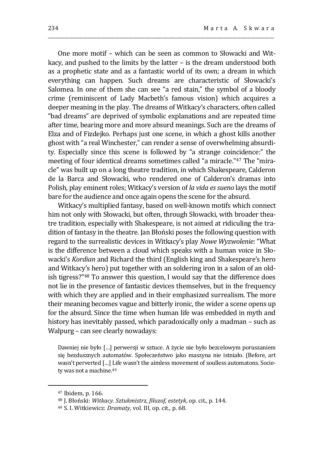One more motif – which can be seen as common to Słowacki and Witkacy, and pushed to the limits by the latter – is the dream understood both as a prophetic state and as a fantastic world of its own; a dream in which everything can happen. Such dreams are characteristic of Słowacki's Salomea. In one of them she can see "a red stain," the symbol of a bloody crime (reminiscent of Lady Macbeth's famous vision) which acquires a deeper meaning in the play. The dreams of Witkacy's characters, often called "bad dreams" are deprived of symbolic explanations and are repeated time after time, bearing more and more absurd meanings. Such are the dreams of Elza and of Fizdejko. Perhaps just one scene, in which a ghost kills another ghost with "a real Winchester," can render a sense of overwhelming absurdity. Especially since this scene is followed by "a strange coincidence:" the meeting of four identical dreams sometimes called "a miracle." <sup>47</sup> The "miracle" was built up on a long theatre tradition, in which Shakespeare, Calderon de la Barca and Słowacki, who rendered one of Calderon's dramas into Polish, play eminent roles; Witkacy's version of *la vida es sueno* lays the motif bare for the audience and once again opens the scene for the absurd.

\_\_\_\_\_\_\_\_\_\_\_\_\_\_\_\_\_\_\_\_\_\_\_\_\_\_\_\_\_\_\_\_\_\_\_\_\_\_\_\_\_\_\_\_\_\_\_\_\_\_\_\_\_\_\_\_\_\_\_\_\_\_\_\_\_\_\_\_\_\_\_\_\_\_\_\_\_\_\_\_\_\_\_\_\_\_\_\_\_\_\_\_\_\_\_\_\_\_

Witkacy's multiplied fantasy, based on well-known motifs which connect him not only with Słowacki, but often, through Słowacki, with broader theatre tradition, especially with Shakespeare, is not aimed at ridiculing the tradition of fantasy in the theatre. Jan Błoński poses the following question with regard to the surrealistic devices in Witkacy's play *Nowe Wyzwolenie*: "What is the difference between a cloud which speaks with a human voice in Słowacki's *Kordian* and Richard the third (English king and Shakespeare's hero and Witkacy's hero) put together with an soldering iron in a salon of an oldish tigress?"<sup>48</sup> To answer this question, I would say that the difference does not lie in the presence of fantastic devices themselves, but in the frequency with which they are applied and in their emphasized surrealism. The more their meaning becomes vague and bitterly ironic, the wider a scene opens up for the absurd. Since the time when human life was embedded in myth and history has inevitably passed, which paradoxically only a madman – such as Walpurg – can see clearly nowadays:

Dawniej nie było […] perwersji w sztuce. A życie nie było bezcelowym poruszaniem się bezdusznych automatów. Społeczeństwo jako maszyna nie istniało. (Before, art wasn't perverted […] Life wasn't the aimless movement of soulless automatons. Society was not a machine.<sup>49</sup>

<sup>47</sup> Ibidem, p. 166.

<sup>48</sup> J. Błoński: *Witkacy. Sztukmistrz, filozof, estetyk*, op. cit., p. 144.

<sup>49</sup> S. I. Witkiewicz: *Dramaty*, vol. III, op. cit., p. 68.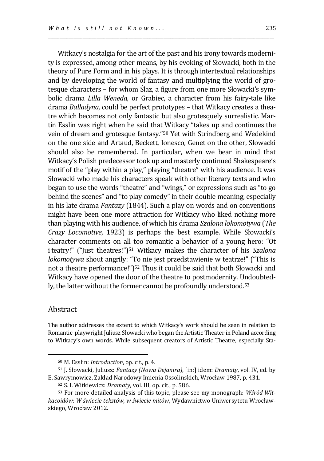theory of Pure Form and in his plays. It is through intertextual relationships and by developing the world of fantasy and multiplying the world of grotesque characters – for whom Ślaz, a figure from one more Słowacki's symbolic drama *Lilla Weneda,* or Grabiec, a character from his fairy-tale like drama *Balladyna,* could be perfect prototypes – that Witkacy creates a theatre which becomes not only fantastic but also grotesquely surrealistic. Martin Esslin was right when he said that Witkacy "takes up and continues the vein of dream and grotesque fantasy." <sup>50</sup> Yet with Strindberg and Wedekind on the one side and Artaud, Beckett, Ionesco, Genet on the other, Słowacki should also be remembered. In particular, when we bear in mind that Witkacy's Polish predecessor took up and masterly continued Shakespeare's motif of the "play within a play," playing "theatre" with his audience. It was Słowacki who made his characters speak with other literary texts and who began to use the words "theatre" and "wings," or expressions such as "to go behind the scenes" and "to play comedy" in their double meaning, especially in his late drama *Fantazy* (1844)*.* Such a play on words and on conventions might have been one more attraction for Witkacy who liked nothing more than playing with his audience, of which his drama *Szalona lokomotywa* (*The Crazy Locomotive*, 1923) is perhaps the best example. While Słowacki's character comments on all too romantic a behavior of a young hero: "Ot iteatry!" ("Just theatres!") <sup>51</sup> Witkacy makes the character of his *Szalona lokomotywa* shout angrily: "To nie jest przedstawienie w teatrze!" ("This is not a theatre performance!") <sup>52</sup> Thus it could be said that both Słowacki and Witkacy have opened the door of the theatre to postmodernity. Undoubtedly, the latter without the former cannot be profoundly understood.<sup>53</sup>

\_\_\_\_\_\_\_\_\_\_\_\_\_\_\_\_\_\_\_\_\_\_\_\_\_\_\_\_\_\_\_\_\_\_\_\_\_\_\_\_\_\_\_\_\_\_\_\_\_\_\_\_\_\_\_\_\_\_\_\_\_\_\_\_\_\_\_\_\_\_\_\_\_\_\_\_\_\_\_\_\_\_\_\_\_\_\_\_\_\_\_\_\_\_\_\_\_\_

## Abstract

 $\overline{a}$ 

The author addresses the extent to which Witkacy's work should be seen in relation to Romantic playwright Juliusz Słowacki who began the Artistic Theater in Poland according to Witkacy's own words. While subsequent creators of Artistic Theatre, especially Sta-

<sup>50</sup> M. Esslin: *Introduction*, op. cit., p. 4.

<sup>51</sup> J. Słowacki, Juliusz: *Fantazy (Nowa Dejanira)*, [in:] idem: *Dramaty*, vol. IV, ed. by E. Sawrymowicz, Zakład Narodowy Imienia Ossolinskich, Wrocław 1987, p. 431.

<sup>52</sup> S. I. Witkiewicz: *Dramaty*, vol. III, op. cit., p. 586.

<sup>53</sup> For more detailed analysis of this topic, please see my monograph: *Wśród Witkacoidów: W świecie tekstów, w świecie mitów*, Wydawnictwo Uniwersytetu Wrocławskiego, Wrocław 2012.